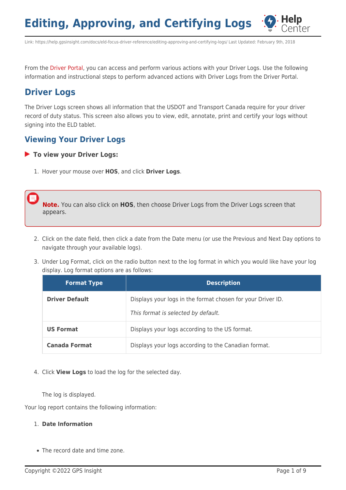

Link: https://help.gpsinsight.com/docs/eld-focus-driver-reference/editing-approving-and-certifying-logs/ Last Updated: February 9th, 2018

From the [Driver Portal,](https://help.gpsinsight.com/docs/hos/driver-reference/exploring-the-driver-portal/) you can access and perform various actions with your Driver Logs. Use the following information and instructional steps to perform advanced actions with Driver Logs from the Driver Portal.

# **Driver Logs**

The Driver Logs screen shows all information that the USDOT and Transport Canada require for your driver record of duty status. This screen also allows you to view, edit, annotate, print and certify your logs without signing into the ELD tablet.

## **Viewing Your Driver Logs**

#### **To view your Driver Logs:**

1. Hover your mouse over **HOS**, and click **Driver Logs**.

**Note.** You can also click on **HOS**, then choose Driver Logs from the Driver Logs screen that appears.

- 2. Click on the date field, then click a date from the Date menu (or use the Previous and Next Day options to navigate through your available logs).
- 3. Under Log Format, click on the radio button next to the log format in which you would like have your log display. Log format options are as follows:

| <b>Format Type</b>    | <b>Description</b>                                                                                 |
|-----------------------|----------------------------------------------------------------------------------------------------|
| <b>Driver Default</b> | Displays your logs in the format chosen for your Driver ID.<br>This format is selected by default. |
| <b>US Format</b>      | Displays your logs according to the US format.                                                     |
| <b>Canada Format</b>  | Displays your logs according to the Canadian format.                                               |

4. Click **View Logs** to load the log for the selected day.

The log is displayed.

Your log report contains the following information:

#### 1. **Date Information**

• The record date and time zone.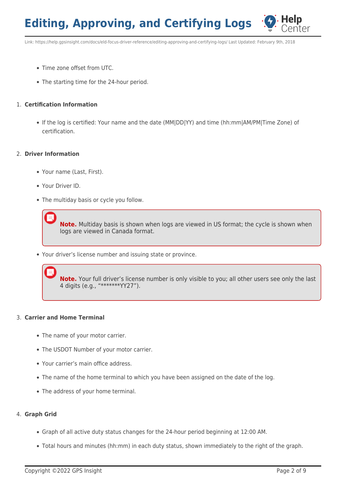

Link: https://help.gpsinsight.com/docs/eld-focus-driver-reference/editing-approving-and-certifying-logs/ Last Updated: February 9th, 2018

- Time zone offset from UTC.
- The starting time for the 24-hour period.

### 1. **Certification Information**

If the log is certified: Your name and the date (MM|DD|YY) and time (hh:mm|AM/PM|Time Zone) of certification.

### 2. **Driver Information**

- Your name (Last, First).
- Your Driver ID.
- The multiday basis or cycle you follow.

**Note.** Multiday basis is shown when logs are viewed in US format; the cycle is shown when logs are viewed in Canada format.

Your driver's license number and issuing state or province.

**Note.** Your full driver's license number is only visible to you; all other users see only the last 4 digits (e.g., "\*\*\*\*\*\*\*YY27").

### 3. **Carrier and Home Terminal**

- The name of your motor carrier.
- The USDOT Number of your motor carrier.
- Your carrier's main office address.
- The name of the home terminal to which you have been assigned on the date of the log.
- The address of your home terminal.

## 4. **Graph Grid**

- Graph of all active duty status changes for the 24-hour period beginning at 12:00 AM.
- Total hours and minutes (hh:mm) in each duty status, shown immediately to the right of the graph.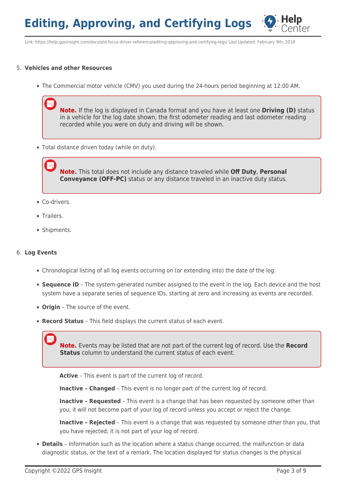

Link: https://help.gpsinsight.com/docs/eld-focus-driver-reference/editing-approving-and-certifying-logs/ Last Updated: February 9th, 2018

### 5. **Vehicles and other Resources**

The Commercial motor vehicle (CMV) you used during the 24-hours period beginning at 12:00 AM.

**Note.** If the log is displayed in Canada format and you have at least one **Driving (D)** status in a vehicle for the log date shown, the first odometer reading and last odometer reading recorded while you were on duty and driving will be shown.

Total distance driven today (while on duty).

**Note.** This total does not include any distance traveled while **Off Duty**, **Personal Conveyance (OFF-PC)** status or any distance traveled in an inactive duty status.

- Co-drivers.
- Trailers.
- Shipments.

#### 6. **Log Events**

- Chronological listing of all log events occurring on (or extending into) the date of the log:
- **Sequence ID** The system-generated number assigned to the event in the log. Each device and the host system have a separate series of sequence IDs, starting at zero and increasing as events are recorded.
- **Origin** The source of the event.
- **Record Status** This field displays the current status of each event.

**Note.** Events may be listed that are not part of the current log of record. Use the **Record Status** column to understand the current status of each event.

**Active** – This event is part of the current log of record.

**Inactive – Changed** – This event is no longer part of the current log of record.

**Inactive - Requested** - This event is a change that has been requested by someone other than you; it will not become part of your log of record unless you accept or reject the change.

**Inactive – Rejected** – This event is a change that was requested by someone other than you, that you have rejected; it is not part of your log of record.

**Details** – Information such as the location where a status change occurred, the malfunction or data diagnostic status, or the text of a remark. The location displayed for status changes is the physical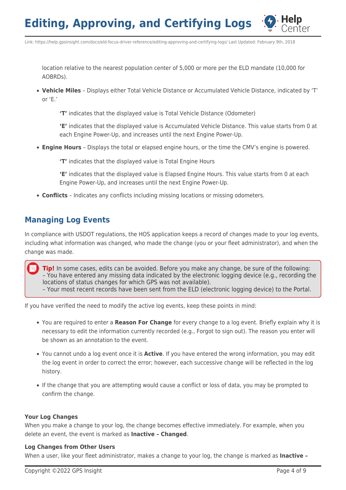

Link: https://help.gpsinsight.com/docs/eld-focus-driver-reference/editing-approving-and-certifying-logs/ Last Updated: February 9th, 2018

location relative to the nearest population center of 5,000 or more per the ELD mandate (10,000 for AOBRDs).

**Vehicle Miles** – Displays either Total Vehicle Distance or Accumulated Vehicle Distance, indicated by 'T' or 'E.'

**'T'** indicates that the displayed value is Total Vehicle Distance (Odometer)

**'E'** indicates that the displayed value is Accumulated Vehicle Distance. This value starts from 0 at each Engine Power-Up, and increases until the next Engine Power-Up.

**Engine Hours** – Displays the total or elapsed engine hours, or the time the CMV's engine is powered.

**'T'** indicates that the displayed value is Total Engine Hours

**'E'** indicates that the displayed value is Elapsed Engine Hours. This value starts from 0 at each Engine Power-Up, and increases until the next Engine Power-Up.

**Conflicts** – Indicates any conflicts including missing locations or missing odometers.

# **Managing Log Events**

In compliance with USDOT regulations, the HOS application keeps a record of changes made to your log events, including what information was changed, who made the change (you or your fleet administrator), and when the change was made.

**Tip!** In some cases, edits can be avoided. Before you make any change, be sure of the following: – You have entered any missing data indicated by the electronic logging device (e.g., recording the locations of status changes for which GPS was not available).

– Your most recent records have been sent from the ELD (electronic logging device) to the Portal.

If you have verified the need to modify the active log events, keep these points in mind:

- You are required to enter a **Reason For Change** for every change to a log event. Briefly explain why it is necessary to edit the information currently recorded (e.g., Forgot to sign out). The reason you enter will be shown as an annotation to the event.
- You cannot undo a log event once it is **Active**. If you have entered the wrong information, you may edit the log event in order to correct the error; however, each successive change will be reflected in the log history.
- If the change that you are attempting would cause a conflict or loss of data, you may be prompted to confirm the change.

### **Your Log Changes**

When you make a change to your log, the change becomes effective immediately. For example, when you delete an event, the event is marked as **Inactive – Changed**.

### **Log Changes from Other Users**

When a user, like your fleet administrator, makes a change to your log, the change is marked as **Inactive –**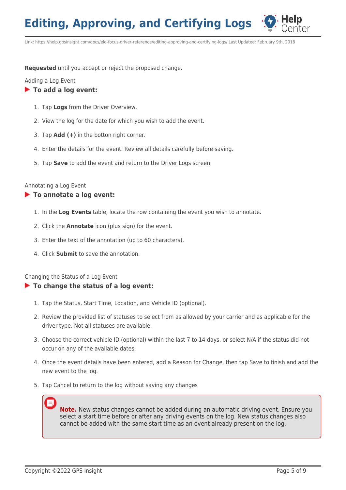

Link: https://help.gpsinsight.com/docs/eld-focus-driver-reference/editing-approving-and-certifying-logs/ Last Updated: February 9th, 2018

**Requested** until you accept or reject the proposed change.

Adding a Log Event

## **To add a log event:**

- 1. Tap **Logs** from the Driver Overview.
- 2. View the log for the date for which you wish to add the event.
- 3. Tap **Add (+)** in the botton right corner.
- 4. Enter the details for the event. Review all details carefully before saving.
- 5. Tap **Save** to add the event and return to the Driver Logs screen.

### Annotating a Log Event

## **To annotate a log event:**

- 1. In the **Log Events** table, locate the row containing the event you wish to annotate.
- 2. Click the **Annotate** icon (plus sign) for the event.
- 3. Enter the text of the annotation (up to 60 characters).
- 4. Click **Submit** to save the annotation.

Changing the Status of a Log Event

## **To change the status of a log event:**

- 1. Tap the Status, Start Time, Location, and Vehicle ID (optional).
- 2. Review the provided list of statuses to select from as allowed by your carrier and as applicable for the driver type. Not all statuses are available.
- 3. Choose the correct vehicle ID (optional) within the last 7 to 14 days, or select N/A if the status did not occur on any of the available dates.
- 4. Once the event details have been entered, add a Reason for Change, then tap Save to finish and add the new event to the log.
- 5. Tap Cancel to return to the log without saving any changes

**Note.** New status changes cannot be added during an automatic driving event. Ensure you select a start time before or after any driving events on the log. New status changes also cannot be added with the same start time as an event already present on the log.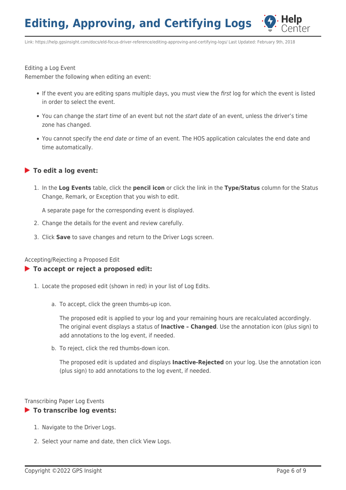

Link: https://help.gpsinsight.com/docs/eld-focus-driver-reference/editing-approving-and-certifying-logs/ Last Updated: February 9th, 2018

Editing a Log Event

Remember the following when editing an event:

- If the event you are editing spans multiple days, you must view the first log for which the event is listed in order to select the event.
- You can change the *start time* of an event but not the *start date* of an event, unless the driver's time zone has changed.
- You cannot specify the end date or time of an event. The HOS application calculates the end date and time automatically.

#### **To edit a log event:**

1. In the **Log Events** table, click the **pencil icon** or click the link in the **Type/Status** column for the Status Change, Remark, or Exception that you wish to edit.

A separate page for the corresponding event is displayed.

- 2. Change the details for the event and review carefully.
- 3. Click **Save** to save changes and return to the Driver Logs screen.

Accepting/Rejecting a Proposed Edit

#### **To accept or reject a proposed edit:**

- 1. Locate the proposed edit (shown in red) in your list of Log Edits.
	- a. To accept, click the green thumbs-up icon.

The proposed edit is applied to your log and your remaining hours are recalculated accordingly. The original event displays a status of **Inactive – Changed**. Use the annotation icon (plus sign) to add annotations to the log event, if needed.

b. To reject, click the red thumbs-down icon.

The proposed edit is updated and displays **Inactive-Rejected** on your log. Use the annotation icon (plus sign) to add annotations to the log event, if needed.

Transcribing Paper Log Events

#### **To transcribe log events:**

- 1. Navigate to the Driver Logs.
- 2. Select your name and date, then click View Logs.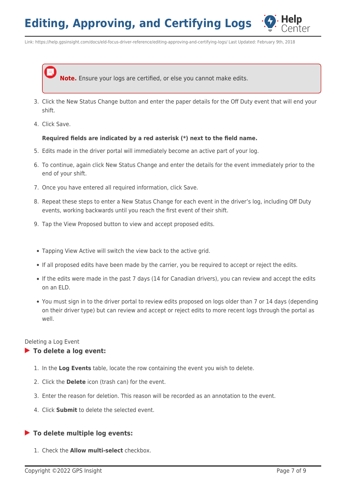

Link: https://help.gpsinsight.com/docs/eld-focus-driver-reference/editing-approving-and-certifying-logs/ Last Updated: February 9th, 2018

**Note.** Ensure your logs are certified, or else you cannot make edits.

- 3. Click the New Status Change button and enter the paper details for the Off Duty event that will end your shift.
- 4. Click Save.

#### **Required fields are indicated by a red asterisk (\*) next to the field name.**

- 5. Edits made in the driver portal will immediately become an active part of your log.
- 6. To continue, again click New Status Change and enter the details for the event immediately prior to the end of your shift.
- 7. Once you have entered all required information, click Save.
- 8. Repeat these steps to enter a New Status Change for each event in the driver's log, including Off Duty events, working backwards until you reach the first event of their shift.
- 9. Tap the View Proposed button to view and accept proposed edits.
- Tapping View Active will switch the view back to the active grid.
- If all proposed edits have been made by the carrier, you be required to accept or reject the edits.
- If the edits were made in the past 7 days (14 for Canadian drivers), you can review and accept the edits on an ELD.
- You must sign in to the driver portal to review edits proposed on logs older than 7 or 14 days (depending on their driver type) but can review and accept or reject edits to more recent logs through the portal as well.

#### Deleting a Log Event

#### **To delete a log event:**

- 1. In the **Log Events** table, locate the row containing the event you wish to delete.
- 2. Click the **Delete** icon (trash can) for the event.
- 3. Enter the reason for deletion. This reason will be recorded as an annotation to the event.
- 4. Click **Submit** to delete the selected event.

#### **To delete multiple log events:**

1. Check the **Allow multi-select** checkbox.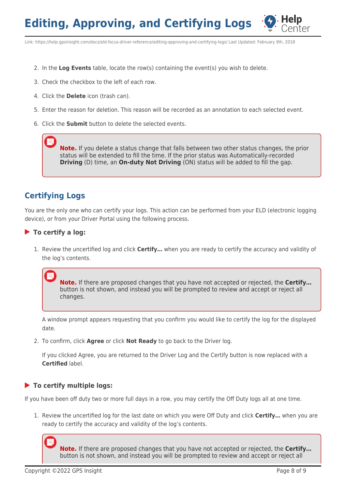

Link: https://help.gpsinsight.com/docs/eld-focus-driver-reference/editing-approving-and-certifying-logs/ Last Updated: February 9th, 2018

- 2. In the **Log Events** table, locate the row(s) containing the event(s) you wish to delete.
- 3. Check the checkbox to the left of each row.
- 4. Click the **Delete** icon (trash can).
- 5. Enter the reason for deletion. This reason will be recorded as an annotation to each selected event.
- 6. Click the **Submit** button to delete the selected events.

**Note.** If you delete a status change that falls between two other status changes, the prior status will be extended to fill the time. If the prior status was Automatically-recorded **Driving** (D) time, an **On-duty Not Driving** (ON) status will be added to fill the gap.

# **Certifying Logs**

You are the only one who can certify your logs. This action can be performed from your ELD (electronic logging device), or from your Driver Portal using the following process.

### **To certify a log:**

1. Review the uncertified log and click **Certify…** when you are ready to certify the accuracy and validity of the log's contents.

**Note.** If there are proposed changes that you have not accepted or rejected, the **Certify…** button is not shown, and instead you will be prompted to review and accept or reject all changes.

A window prompt appears requesting that you confirm you would like to certify the log for the displayed date.

2. To confirm, click **Agree** or click **Not Ready** to go back to the Driver log.

If you clicked Agree, you are returned to the Driver Log and the Certify button is now replaced with a **Certified** label.

## **To certify multiple logs:**

If you have been off duty two or more full days in a row, you may certify the Off Duty logs all at one time.

1. Review the uncertified log for the last date on which you were Off Duty and click **Certify…** when you are ready to certify the accuracy and validity of the log's contents.

**Note.** If there are proposed changes that you have not accepted or rejected, the **Certify…** button is not shown, and instead you will be prompted to review and accept or reject all